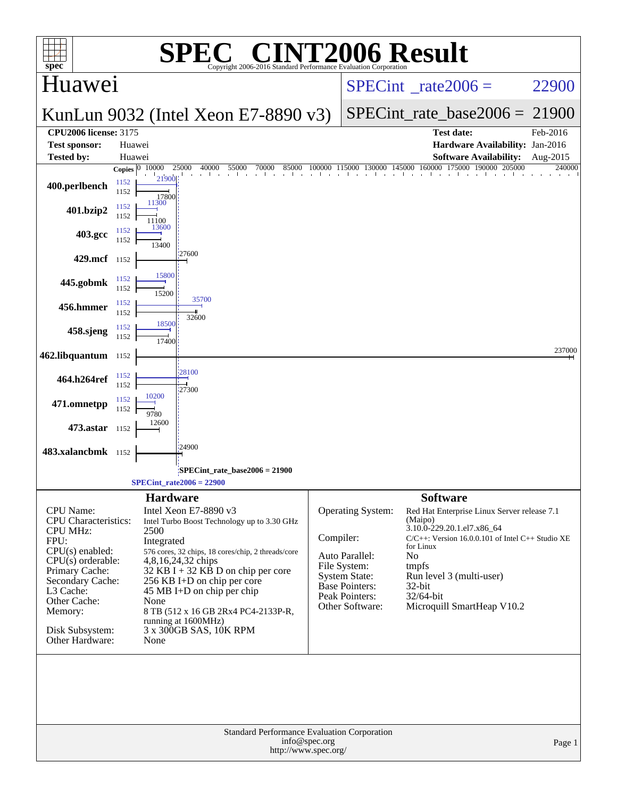| <b>NT2006 Result</b><br>$\bigcap$<br>spec <sup>®</sup><br><b>Standard Performance Evaluation Corporation</b> |                                                 |                 |                                                                          |           |                                        |                                                                    |          |
|--------------------------------------------------------------------------------------------------------------|-------------------------------------------------|-----------------|--------------------------------------------------------------------------|-----------|----------------------------------------|--------------------------------------------------------------------|----------|
| Huawei                                                                                                       |                                                 |                 |                                                                          |           |                                        | $SPECint^*_rate2006 =$                                             | 22900    |
|                                                                                                              |                                                 |                 | KunLun 9032 (Intel Xeon E7-8890 v3)                                      |           |                                        | $SPECint_rate\_base2006 =$                                         | 21900    |
| <b>CPU2006</b> license: 3175                                                                                 | Huawei                                          |                 |                                                                          |           |                                        | <b>Test date:</b>                                                  | Feb-2016 |
| <b>Test sponsor:</b><br><b>Tested by:</b>                                                                    | Huawei                                          |                 |                                                                          |           |                                        | Hardware Availability: Jan-2016<br><b>Software Availability:</b>   | Aug-2015 |
|                                                                                                              | Copies $ 0\rangle$                              | 10000           | 25000<br>40000<br>55000<br>70000<br>85000                                | 100000    | 115000<br>130000 145000                | 160000<br>175000<br>190000<br>205000                               | 240000   |
| 400.perlbench                                                                                                | 1152<br>1152                                    | 21900<br>17800  |                                                                          |           |                                        |                                                                    |          |
| 401.bzip2                                                                                                    | 1152<br>1152                                    | 11300<br>11100  |                                                                          |           |                                        |                                                                    |          |
| 403.gcc                                                                                                      | 1152<br>1152                                    | 13600<br>13400  |                                                                          |           |                                        |                                                                    |          |
| 429.mcf 1152                                                                                                 |                                                 |                 | '27600                                                                   |           |                                        |                                                                    |          |
| 445.gobmk                                                                                                    | 1152<br>1152                                    | 15800<br>15200  |                                                                          |           |                                        |                                                                    |          |
| 456.hmmer                                                                                                    | 1152<br>1152                                    |                 | 35700                                                                    |           |                                        |                                                                    |          |
| 458.sjeng                                                                                                    | 1152<br>1152                                    | 18500           | 32600                                                                    |           |                                        |                                                                    |          |
| 462.libquantum 1152                                                                                          |                                                 |                 |                                                                          |           |                                        |                                                                    | 237000   |
| 464.h264ref                                                                                                  | 1152                                            |                 | 28100                                                                    |           |                                        |                                                                    |          |
| 471.omnetpp                                                                                                  | 1152<br>1152                                    | 10200           | 27300                                                                    |           |                                        |                                                                    |          |
| 473.astar 1152                                                                                               | 1152                                            | 9780<br>12600   |                                                                          |           |                                        |                                                                    |          |
| 483.xalancbmk 1152                                                                                           |                                                 |                 | 24900                                                                    |           |                                        |                                                                    |          |
|                                                                                                              |                                                 |                 | SPECint_rate_base2006 = 21900:                                           |           |                                        |                                                                    |          |
|                                                                                                              |                                                 |                 | $SPECint_rate2006 = 22900$                                               |           |                                        |                                                                    |          |
|                                                                                                              |                                                 | <b>Hardware</b> |                                                                          |           |                                        | <b>Software</b>                                                    |          |
| <b>CPU</b> Name:                                                                                             |                                                 |                 | Intel Xeon E7-8890 v3                                                    |           | Operating System:                      | Red Hat Enterprise Linux Server release 7.1                        |          |
| <b>CPU</b> Characteristics:<br><b>CPU MHz:</b>                                                               |                                                 | 2500            | Intel Turbo Boost Technology up to 3.30 GHz                              |           |                                        | (Maipo)<br>3.10.0-229.20.1.el7.x86_64                              |          |
| FPU:                                                                                                         |                                                 | Integrated      |                                                                          | Compiler: |                                        | $C/C++$ : Version 16.0.0.101 of Intel $C++$ Studio XE<br>for Linux |          |
| $CPU(s)$ enabled:<br>$CPU(s)$ orderable:                                                                     |                                                 |                 | 576 cores, 32 chips, 18 cores/chip, 2 threads/core<br>4,8,16,24,32 chips |           | Auto Parallel:                         | No                                                                 |          |
| Primary Cache:                                                                                               |                                                 |                 | 32 KB I + 32 KB D on chip per core                                       |           | File System:                           | tmpfs                                                              |          |
| Secondary Cache:                                                                                             |                                                 |                 | 256 KB I+D on chip per core                                              |           | <b>System State:</b><br>Base Pointers: | Run level 3 (multi-user)<br>32-bit                                 |          |
| L3 Cache:<br>Other Cache:                                                                                    |                                                 | None            | 45 MB I+D on chip per chip                                               |           | Peak Pointers:                         | 32/64-bit                                                          |          |
| Memory:                                                                                                      |                                                 |                 | 8 TB (512 x 16 GB 2Rx4 PC4-2133P-R,                                      |           | Other Software:                        | Microquill SmartHeap V10.2                                         |          |
| Disk Subsystem:                                                                                              |                                                 |                 | running at 1600MHz)<br>3 x 300GB SAS, 10K RPM                            |           |                                        |                                                                    |          |
| Other Hardware:                                                                                              |                                                 | None            |                                                                          |           |                                        |                                                                    |          |
|                                                                                                              |                                                 |                 |                                                                          |           |                                        |                                                                    |          |
|                                                                                                              |                                                 |                 |                                                                          |           |                                        |                                                                    |          |
| Standard Performance Evaluation Corporation                                                                  |                                                 |                 |                                                                          |           |                                        |                                                                    |          |
|                                                                                                              | info@spec.org<br>Page 1<br>http://www.spec.org/ |                 |                                                                          |           |                                        |                                                                    |          |
|                                                                                                              |                                                 |                 |                                                                          |           |                                        |                                                                    |          |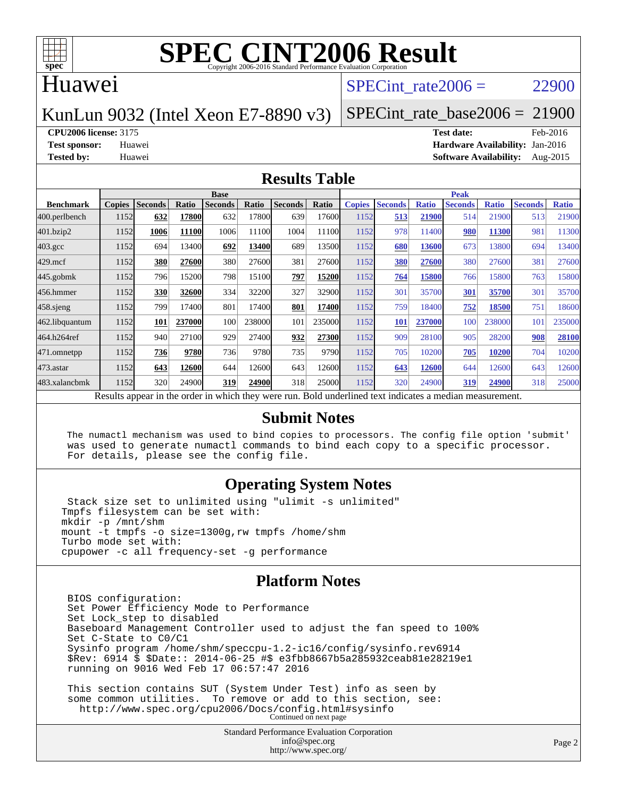

### Huawei

### SPECint rate $2006 = 22900$

### KunLun 9032 (Intel Xeon E7-8890 v3)

SPECint rate base2006 =  $21900$ 

#### **[CPU2006 license:](http://www.spec.org/auto/cpu2006/Docs/result-fields.html#CPU2006license)** 3175 **[Test date:](http://www.spec.org/auto/cpu2006/Docs/result-fields.html#Testdate)** Feb-2016

**[Test sponsor:](http://www.spec.org/auto/cpu2006/Docs/result-fields.html#Testsponsor)** Huawei **[Hardware Availability:](http://www.spec.org/auto/cpu2006/Docs/result-fields.html#HardwareAvailability)** Jan-2016 **[Tested by:](http://www.spec.org/auto/cpu2006/Docs/result-fields.html#Testedby)** Huawei **[Software Availability:](http://www.spec.org/auto/cpu2006/Docs/result-fields.html#SoftwareAvailability)** Aug-2015

### **[Results Table](http://www.spec.org/auto/cpu2006/Docs/result-fields.html#ResultsTable)**

|                                                                                                          | <b>Base</b>   |                |        |                |        |                |        | <b>Peak</b>   |                |              |                |              |                |              |
|----------------------------------------------------------------------------------------------------------|---------------|----------------|--------|----------------|--------|----------------|--------|---------------|----------------|--------------|----------------|--------------|----------------|--------------|
| <b>Benchmark</b>                                                                                         | <b>Copies</b> | <b>Seconds</b> | Ratio  | <b>Seconds</b> | Ratio  | <b>Seconds</b> | Ratio  | <b>Copies</b> | <b>Seconds</b> | <b>Ratio</b> | <b>Seconds</b> | <b>Ratio</b> | <b>Seconds</b> | <b>Ratio</b> |
| 400.perlbench                                                                                            | 1152          | 632            | 17800  | 632            | 17800  | 639            | 17600  | 1152          | 513            | 21900        | 514            | 21900        | 513            | 21900        |
| $401$ .bzip2                                                                                             | 1152          | 1006           | 11100  | 1006           | 11100  | 1004           | 11100  | 1152          | 978            | 11400        | 980            | 11300        | 981            | 11300        |
| $403.\text{gcc}$                                                                                         | 1152          | 694            | 13400  | 692            | 13400  | 689            | 13500  | 1152          | 680            | 13600        | 673            | 13800        | 694            | 13400        |
| $429$ .mcf                                                                                               | 1152          | 380            | 27600  | 380            | 27600  | 381            | 27600  | 1152          | 380            | 27600        | 380            | 27600        | 381            | 27600        |
| $445$ .gobm $k$                                                                                          | 1152          | 796            | 15200  | 798            | 15100  | 797            | 15200  | 1152          | 764            | 15800        | 766            | 15800        | 763            | 15800        |
| 456.hmmer                                                                                                | 1152          | 330            | 32600  | 334            | 32200  | 327            | 32900  | 1152          | 301            | 35700        | 301            | 35700        | 301            | 35700        |
| $458$ .sjeng                                                                                             | 1152          | 799            | 17400  | 801            | 17400  | 801            | 17400  | 1152          | 759            | 18400        | 752            | 18500        | 751            | 18600        |
| 462.libquantum                                                                                           | 1152          | 101            | 237000 | 100            | 238000 | 101            | 235000 | 1152          | <b>101</b>     | 237000       | 100            | 238000       | 101            | 235000       |
| 464.h264ref                                                                                              | 1152          | 940            | 27100  | 929            | 27400  | 932            | 27300  | 1152          | 909            | 28100        | 905            | 28200        | 908            | 28100        |
| 471.omnetpp                                                                                              | 1152          | 736            | 9780   | 736            | 9780   | 735            | 9790   | 1152          | 705            | 10200        | 705            | 10200        | 704            | 10200        |
| $473$ . astar                                                                                            | 1152          | 643            | 12600  | 644            | 12600  | 643            | 12600  | 1152          | 643            | 12600        | 644            | 12600        | 643            | 12600        |
| 483.xalancbmk                                                                                            | 1152          | 320            | 24900  | 319            | 24900  | 318            | 25000  | 1152          | 320            | 24900        | 319            | 24900        | 318            | 25000        |
| Results appear in the order in which they were run. Bold underlined text indicates a median measurement. |               |                |        |                |        |                |        |               |                |              |                |              |                |              |

### **[Submit Notes](http://www.spec.org/auto/cpu2006/Docs/result-fields.html#SubmitNotes)**

 The numactl mechanism was used to bind copies to processors. The config file option 'submit' was used to generate numactl commands to bind each copy to a specific processor. For details, please see the config file.

### **[Operating System Notes](http://www.spec.org/auto/cpu2006/Docs/result-fields.html#OperatingSystemNotes)**

 Stack size set to unlimited using "ulimit -s unlimited" Tmpfs filesystem can be set with: mkdir -p /mnt/shm mount -t tmpfs -o size=1300g,rw tmpfs /home/shm Turbo mode set with: cpupower -c all frequency-set -g performance

### **[Platform Notes](http://www.spec.org/auto/cpu2006/Docs/result-fields.html#PlatformNotes)**

 BIOS configuration: Set Power Efficiency Mode to Performance Set Lock\_step to disabled Baseboard Management Controller used to adjust the fan speed to 100% Set C-State to C0/C1 Sysinfo program /home/shm/speccpu-1.2-ic16/config/sysinfo.rev6914 \$Rev: 6914 \$ \$Date:: 2014-06-25 #\$ e3fbb8667b5a285932ceab81e28219e1 running on 9016 Wed Feb 17 06:57:47 2016 This section contains SUT (System Under Test) info as seen by

 some common utilities. To remove or add to this section, see: <http://www.spec.org/cpu2006/Docs/config.html#sysinfo> Continued on next page

> Standard Performance Evaluation Corporation [info@spec.org](mailto:info@spec.org) <http://www.spec.org/>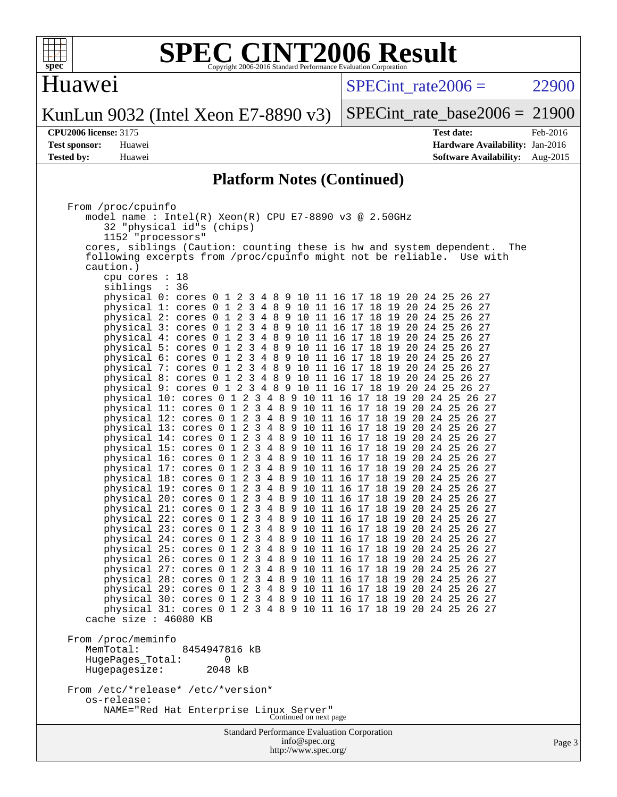

# Huawei

 $SPECTnt_rate2006 = 22900$ 

KunLun 9032 (Intel Xeon E7-8890 v3)

[SPECint\\_rate\\_base2006 =](http://www.spec.org/auto/cpu2006/Docs/result-fields.html#SPECintratebase2006) 21900

**[CPU2006 license:](http://www.spec.org/auto/cpu2006/Docs/result-fields.html#CPU2006license)** 3175 **[Test date:](http://www.spec.org/auto/cpu2006/Docs/result-fields.html#Testdate)** Feb-2016 **[Test sponsor:](http://www.spec.org/auto/cpu2006/Docs/result-fields.html#Testsponsor)** Huawei **[Hardware Availability:](http://www.spec.org/auto/cpu2006/Docs/result-fields.html#HardwareAvailability)** Jan-2016 **[Tested by:](http://www.spec.org/auto/cpu2006/Docs/result-fields.html#Testedby)** Huawei **[Software Availability:](http://www.spec.org/auto/cpu2006/Docs/result-fields.html#SoftwareAvailability)** Aug-2015

### **[Platform Notes \(Continued\)](http://www.spec.org/auto/cpu2006/Docs/result-fields.html#PlatformNotes)**

| From /proc/cpuinfo                                                          |        |  |  |  |  |  |
|-----------------------------------------------------------------------------|--------|--|--|--|--|--|
| model name : Intel(R) Xeon(R) CPU E7-8890 v3 @ 2.50GHz                      |        |  |  |  |  |  |
| 32 "physical id"s (chips)                                                   |        |  |  |  |  |  |
| 1152 "processors"                                                           |        |  |  |  |  |  |
| cores, siblings (Caution: counting these is hw and system dependent.<br>The |        |  |  |  |  |  |
| following excerpts from /proc/cpuinfo might not be reliable. Use with       |        |  |  |  |  |  |
| caution.)                                                                   |        |  |  |  |  |  |
| $cpu$ cores : 18                                                            |        |  |  |  |  |  |
| siblings : 36                                                               |        |  |  |  |  |  |
| physical 0: cores 0 1 2 3 4 8 9 10 11 16 17 18 19 20 24 25 26 27            |        |  |  |  |  |  |
| physical 1: cores 0 1 2 3 4 8 9 10 11 16 17 18 19 20 24 25 26 27            |        |  |  |  |  |  |
| physical 2: cores 0 1 2 3 4 8 9 10 11 16 17 18 19 20 24 25 26 27            |        |  |  |  |  |  |
| physical 3: cores 0 1 2 3 4 8 9 10 11 16 17 18 19 20 24 25 26 27            |        |  |  |  |  |  |
| physical 4: cores 0 1 2 3 4 8 9 10 11 16 17 18 19 20 24 25 26 27            |        |  |  |  |  |  |
| physical 5: cores 0 1 2 3 4 8 9 10 11 16 17 18 19 20 24 25 26 27            |        |  |  |  |  |  |
| physical 6: cores 0 1 2 3 4 8 9 10 11 16 17 18 19 20 24 25 26 27            |        |  |  |  |  |  |
| physical 7: cores 0 1 2 3 4 8 9 10 11 16 17 18 19 20 24 25 26 27            |        |  |  |  |  |  |
| physical 8: cores 0 1 2 3 4 8 9 10 11 16 17 18 19 20 24 25 26 27            |        |  |  |  |  |  |
| physical 9: cores 0 1 2 3 4 8 9 10 11 16 17 18 19 20 24 25 26 27            |        |  |  |  |  |  |
| physical 10: cores 0 1 2 3 4 8 9 10 11 16 17 18 19 20 24 25 26 27           |        |  |  |  |  |  |
| physical 11: cores 0 1 2 3 4 8 9 10 11 16 17 18 19 20 24 25 26 27           |        |  |  |  |  |  |
| physical 12: cores 0 1 2 3 4 8 9 10 11 16 17 18 19 20 24 25 26 27           |        |  |  |  |  |  |
| physical 13: cores 0 1 2 3 4 8 9 10 11 16 17 18 19 20 24 25 26 27           |        |  |  |  |  |  |
|                                                                             |        |  |  |  |  |  |
| physical 14: cores 0 1 2 3 4 8 9 10 11 16 17 18 19 20 24 25 26 27           |        |  |  |  |  |  |
| physical 15: cores 0 1 2 3 4 8 9 10 11 16 17 18 19 20 24 25 26 27           |        |  |  |  |  |  |
| physical 16: cores 0 1 2 3 4 8 9 10 11 16 17 18 19 20 24 25 26 27           |        |  |  |  |  |  |
| physical 17: cores 0 1 2 3 4 8 9 10 11 16 17 18 19 20 24 25 26 27           |        |  |  |  |  |  |
| physical 18: cores 0 1 2 3 4 8 9 10 11 16 17 18 19 20 24 25 26 27           |        |  |  |  |  |  |
| physical 19: cores 0 1 2 3 4 8 9 10 11 16 17 18 19 20 24 25 26 27           |        |  |  |  |  |  |
| physical 20: cores 0 1 2 3 4 8 9 10 11 16 17 18 19 20 24 25 26 27           |        |  |  |  |  |  |
| physical 21: cores 0 1 2 3 4 8 9 10 11 16 17 18 19 20 24 25 26 27           |        |  |  |  |  |  |
| physical 22: cores 0 1 2 3 4 8 9 10 11 16 17 18 19 20 24 25 26 27           |        |  |  |  |  |  |
| physical 23: cores 0 1 2 3 4 8 9 10 11 16 17 18 19 20 24 25 26 27           |        |  |  |  |  |  |
| physical 24: cores 0 1 2 3 4 8 9 10 11 16 17 18 19 20 24 25 26 27           |        |  |  |  |  |  |
| physical 25: cores 0 1 2 3 4 8 9 10 11 16 17 18 19 20 24 25 26 27           |        |  |  |  |  |  |
| physical 26: cores 0 1 2 3 4 8 9 10 11 16 17 18 19 20 24 25 26 27           |        |  |  |  |  |  |
| physical 27: cores 0 1 2 3 4 8 9 10 11 16 17 18 19 20 24 25 26 27           |        |  |  |  |  |  |
| physical 28: cores 0 1 2 3 4 8 9 10 11 16 17 18 19 20 24 25 26 27           |        |  |  |  |  |  |
| physical 29: cores 0 1 2 3 4 8 9 10 11 16 17 18 19 20 24 25 26 27           |        |  |  |  |  |  |
| physical 30: cores 0 1 2 3 4 8 9 10 11 16 17 18 19 20 24 25 26 27           |        |  |  |  |  |  |
| physical 31: cores 0 1 2 3 4 8 9 10 11 16 17 18 19 20 24 25 26 27           |        |  |  |  |  |  |
| cache size $: 46080$ KB                                                     |        |  |  |  |  |  |
|                                                                             |        |  |  |  |  |  |
| From /proc/meminfo                                                          |        |  |  |  |  |  |
| MemTotal:<br>8454947816 kB                                                  |        |  |  |  |  |  |
| 0<br>HugePages_Total:                                                       |        |  |  |  |  |  |
| Hugepagesize:<br>2048 kB                                                    |        |  |  |  |  |  |
|                                                                             |        |  |  |  |  |  |
| From /etc/*release* /etc/*version*                                          |        |  |  |  |  |  |
| os-release:                                                                 |        |  |  |  |  |  |
| NAME="Red Hat Enterprise Linux Server"<br>Continued on next page            |        |  |  |  |  |  |
|                                                                             |        |  |  |  |  |  |
| <b>Standard Performance Evaluation Corporation</b>                          |        |  |  |  |  |  |
| info@spec.org                                                               | Page 3 |  |  |  |  |  |
| http://www.spec.org/                                                        |        |  |  |  |  |  |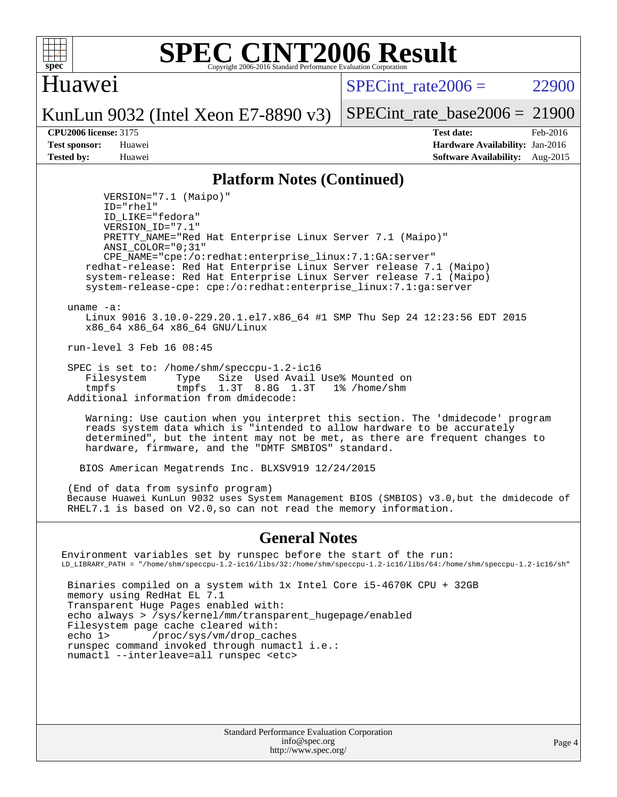

### Huawei

 $SPECTnt rate2006 = 22900$ 

KunLun 9032 (Intel Xeon E7-8890 v3)

SPECint rate base2006 =  $21900$ 

**[CPU2006 license:](http://www.spec.org/auto/cpu2006/Docs/result-fields.html#CPU2006license)** 3175 **[Test date:](http://www.spec.org/auto/cpu2006/Docs/result-fields.html#Testdate)** Feb-2016 **[Test sponsor:](http://www.spec.org/auto/cpu2006/Docs/result-fields.html#Testsponsor)** Huawei **[Hardware Availability:](http://www.spec.org/auto/cpu2006/Docs/result-fields.html#HardwareAvailability)** Jan-2016 **[Tested by:](http://www.spec.org/auto/cpu2006/Docs/result-fields.html#Testedby)** Huawei **[Software Availability:](http://www.spec.org/auto/cpu2006/Docs/result-fields.html#SoftwareAvailability)** Aug-2015

### **[Platform Notes \(Continued\)](http://www.spec.org/auto/cpu2006/Docs/result-fields.html#PlatformNotes)**

 VERSION="7.1 (Maipo)" ID="rhel" ID\_LIKE="fedora" VERSION\_ID="7.1" PRETTY\_NAME="Red Hat Enterprise Linux Server 7.1 (Maipo)" ANSI\_COLOR="0;31" CPE\_NAME="cpe:/o:redhat:enterprise\_linux:7.1:GA:server" redhat-release: Red Hat Enterprise Linux Server release 7.1 (Maipo) system-release: Red Hat Enterprise Linux Server release 7.1 (Maipo) system-release-cpe: cpe:/o:redhat:enterprise\_linux:7.1:ga:server

uname -a:

 Linux 9016 3.10.0-229.20.1.el7.x86\_64 #1 SMP Thu Sep 24 12:23:56 EDT 2015 x86\_64 x86\_64 x86\_64 GNU/Linux

run-level 3 Feb 16 08:45

 SPEC is set to: /home/shm/speccpu-1.2-ic16 Filesystem Type Size Used Avail Use% Mounted on tmpfs tmpfs 1.3T 8.8G 1.3T 1% /home/shm Additional information from dmidecode:

 Warning: Use caution when you interpret this section. The 'dmidecode' program reads system data which is "intended to allow hardware to be accurately determined", but the intent may not be met, as there are frequent changes to hardware, firmware, and the "DMTF SMBIOS" standard.

BIOS American Megatrends Inc. BLXSV919 12/24/2015

 (End of data from sysinfo program) Because Huawei KunLun 9032 uses System Management BIOS (SMBIOS) v3.0,but the dmidecode of RHEL7.1 is based on V2.0,so can not read the memory information.

### **[General Notes](http://www.spec.org/auto/cpu2006/Docs/result-fields.html#GeneralNotes)**

Environment variables set by runspec before the start of the run: LD\_LIBRARY\_PATH = "/home/shm/speccpu-1.2-ic16/libs/32:/home/shm/speccpu-1.2-ic16/libs/64:/home/shm/speccpu-1.2-ic16/sh" Binaries compiled on a system with 1x Intel Core i5-4670K CPU + 32GB memory using RedHat EL 7.1 Transparent Huge Pages enabled with: echo always > /sys/kernel/mm/transparent\_hugepage/enabled Filesystem page cache cleared with:<br>echo 1> /proc/sys/vm/drop cac /proc/sys/vm/drop\_caches runspec command invoked through numactl i.e.: numactl --interleave=all runspec <etc>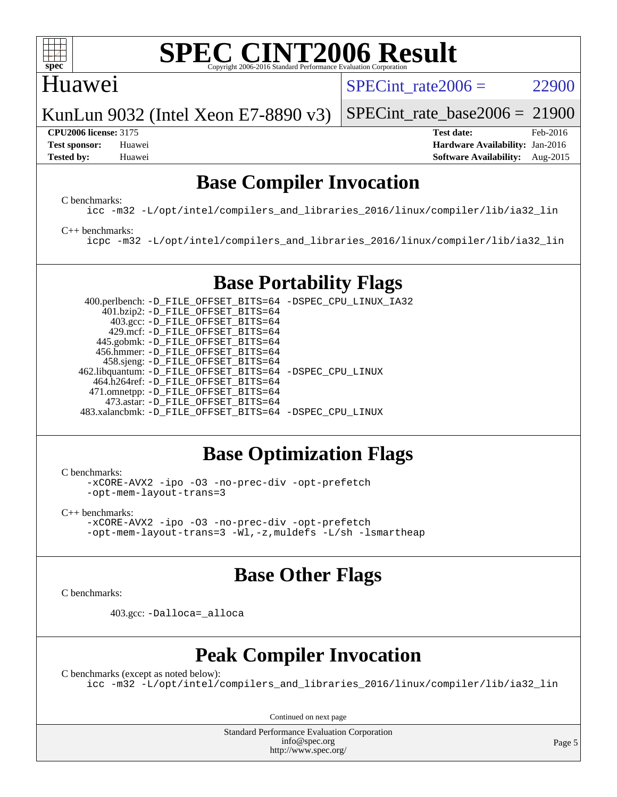

### Huawei

SPECint rate $2006 = 22900$ 

KunLun 9032 (Intel Xeon E7-8890 v3)

#### **[CPU2006 license:](http://www.spec.org/auto/cpu2006/Docs/result-fields.html#CPU2006license)** 3175 **[Test date:](http://www.spec.org/auto/cpu2006/Docs/result-fields.html#Testdate)** Feb-2016

SPECint rate base2006 =  $21900$ 

**[Test sponsor:](http://www.spec.org/auto/cpu2006/Docs/result-fields.html#Testsponsor)** Huawei **[Hardware Availability:](http://www.spec.org/auto/cpu2006/Docs/result-fields.html#HardwareAvailability)** Jan-2016 **[Tested by:](http://www.spec.org/auto/cpu2006/Docs/result-fields.html#Testedby)** Huawei **[Software Availability:](http://www.spec.org/auto/cpu2006/Docs/result-fields.html#SoftwareAvailability)** Aug-2015

## **[Base Compiler Invocation](http://www.spec.org/auto/cpu2006/Docs/result-fields.html#BaseCompilerInvocation)**

[C benchmarks](http://www.spec.org/auto/cpu2006/Docs/result-fields.html#Cbenchmarks):

[icc -m32 -L/opt/intel/compilers\\_and\\_libraries\\_2016/linux/compiler/lib/ia32\\_lin](http://www.spec.org/cpu2006/results/res2016q1/cpu2006-20160223-39045.flags.html#user_CCbase_intel_icc_e10256ba5924b668798078a321b0cb3f)

#### [C++ benchmarks:](http://www.spec.org/auto/cpu2006/Docs/result-fields.html#CXXbenchmarks)

[icpc -m32 -L/opt/intel/compilers\\_and\\_libraries\\_2016/linux/compiler/lib/ia32\\_lin](http://www.spec.org/cpu2006/results/res2016q1/cpu2006-20160223-39045.flags.html#user_CXXbase_intel_icpc_b4f50a394bdb4597aa5879c16bc3f5c5)

# **[Base Portability Flags](http://www.spec.org/auto/cpu2006/Docs/result-fields.html#BasePortabilityFlags)**

 400.perlbench: [-D\\_FILE\\_OFFSET\\_BITS=64](http://www.spec.org/cpu2006/results/res2016q1/cpu2006-20160223-39045.flags.html#user_basePORTABILITY400_perlbench_file_offset_bits_64_438cf9856305ebd76870a2c6dc2689ab) [-DSPEC\\_CPU\\_LINUX\\_IA32](http://www.spec.org/cpu2006/results/res2016q1/cpu2006-20160223-39045.flags.html#b400.perlbench_baseCPORTABILITY_DSPEC_CPU_LINUX_IA32) 401.bzip2: [-D\\_FILE\\_OFFSET\\_BITS=64](http://www.spec.org/cpu2006/results/res2016q1/cpu2006-20160223-39045.flags.html#user_basePORTABILITY401_bzip2_file_offset_bits_64_438cf9856305ebd76870a2c6dc2689ab) 403.gcc: [-D\\_FILE\\_OFFSET\\_BITS=64](http://www.spec.org/cpu2006/results/res2016q1/cpu2006-20160223-39045.flags.html#user_basePORTABILITY403_gcc_file_offset_bits_64_438cf9856305ebd76870a2c6dc2689ab) 429.mcf: [-D\\_FILE\\_OFFSET\\_BITS=64](http://www.spec.org/cpu2006/results/res2016q1/cpu2006-20160223-39045.flags.html#user_basePORTABILITY429_mcf_file_offset_bits_64_438cf9856305ebd76870a2c6dc2689ab) 445.gobmk: [-D\\_FILE\\_OFFSET\\_BITS=64](http://www.spec.org/cpu2006/results/res2016q1/cpu2006-20160223-39045.flags.html#user_basePORTABILITY445_gobmk_file_offset_bits_64_438cf9856305ebd76870a2c6dc2689ab) 456.hmmer: [-D\\_FILE\\_OFFSET\\_BITS=64](http://www.spec.org/cpu2006/results/res2016q1/cpu2006-20160223-39045.flags.html#user_basePORTABILITY456_hmmer_file_offset_bits_64_438cf9856305ebd76870a2c6dc2689ab) 458.sjeng: [-D\\_FILE\\_OFFSET\\_BITS=64](http://www.spec.org/cpu2006/results/res2016q1/cpu2006-20160223-39045.flags.html#user_basePORTABILITY458_sjeng_file_offset_bits_64_438cf9856305ebd76870a2c6dc2689ab) 462.libquantum: [-D\\_FILE\\_OFFSET\\_BITS=64](http://www.spec.org/cpu2006/results/res2016q1/cpu2006-20160223-39045.flags.html#user_basePORTABILITY462_libquantum_file_offset_bits_64_438cf9856305ebd76870a2c6dc2689ab) [-DSPEC\\_CPU\\_LINUX](http://www.spec.org/cpu2006/results/res2016q1/cpu2006-20160223-39045.flags.html#b462.libquantum_baseCPORTABILITY_DSPEC_CPU_LINUX) 464.h264ref: [-D\\_FILE\\_OFFSET\\_BITS=64](http://www.spec.org/cpu2006/results/res2016q1/cpu2006-20160223-39045.flags.html#user_basePORTABILITY464_h264ref_file_offset_bits_64_438cf9856305ebd76870a2c6dc2689ab) 471.omnetpp: [-D\\_FILE\\_OFFSET\\_BITS=64](http://www.spec.org/cpu2006/results/res2016q1/cpu2006-20160223-39045.flags.html#user_basePORTABILITY471_omnetpp_file_offset_bits_64_438cf9856305ebd76870a2c6dc2689ab) 473.astar: [-D\\_FILE\\_OFFSET\\_BITS=64](http://www.spec.org/cpu2006/results/res2016q1/cpu2006-20160223-39045.flags.html#user_basePORTABILITY473_astar_file_offset_bits_64_438cf9856305ebd76870a2c6dc2689ab) 483.xalancbmk: [-D\\_FILE\\_OFFSET\\_BITS=64](http://www.spec.org/cpu2006/results/res2016q1/cpu2006-20160223-39045.flags.html#user_basePORTABILITY483_xalancbmk_file_offset_bits_64_438cf9856305ebd76870a2c6dc2689ab) [-DSPEC\\_CPU\\_LINUX](http://www.spec.org/cpu2006/results/res2016q1/cpu2006-20160223-39045.flags.html#b483.xalancbmk_baseCXXPORTABILITY_DSPEC_CPU_LINUX)

# **[Base Optimization Flags](http://www.spec.org/auto/cpu2006/Docs/result-fields.html#BaseOptimizationFlags)**

[C benchmarks](http://www.spec.org/auto/cpu2006/Docs/result-fields.html#Cbenchmarks):

[-xCORE-AVX2](http://www.spec.org/cpu2006/results/res2016q1/cpu2006-20160223-39045.flags.html#user_CCbase_f-xAVX2_5f5fc0cbe2c9f62c816d3e45806c70d7) [-ipo](http://www.spec.org/cpu2006/results/res2016q1/cpu2006-20160223-39045.flags.html#user_CCbase_f-ipo) [-O3](http://www.spec.org/cpu2006/results/res2016q1/cpu2006-20160223-39045.flags.html#user_CCbase_f-O3) [-no-prec-div](http://www.spec.org/cpu2006/results/res2016q1/cpu2006-20160223-39045.flags.html#user_CCbase_f-no-prec-div) [-opt-prefetch](http://www.spec.org/cpu2006/results/res2016q1/cpu2006-20160223-39045.flags.html#user_CCbase_f-opt-prefetch) [-opt-mem-layout-trans=3](http://www.spec.org/cpu2006/results/res2016q1/cpu2006-20160223-39045.flags.html#user_CCbase_f-opt-mem-layout-trans_a7b82ad4bd7abf52556d4961a2ae94d5)

[C++ benchmarks:](http://www.spec.org/auto/cpu2006/Docs/result-fields.html#CXXbenchmarks) [-xCORE-AVX2](http://www.spec.org/cpu2006/results/res2016q1/cpu2006-20160223-39045.flags.html#user_CXXbase_f-xAVX2_5f5fc0cbe2c9f62c816d3e45806c70d7) [-ipo](http://www.spec.org/cpu2006/results/res2016q1/cpu2006-20160223-39045.flags.html#user_CXXbase_f-ipo) [-O3](http://www.spec.org/cpu2006/results/res2016q1/cpu2006-20160223-39045.flags.html#user_CXXbase_f-O3) [-no-prec-div](http://www.spec.org/cpu2006/results/res2016q1/cpu2006-20160223-39045.flags.html#user_CXXbase_f-no-prec-div) [-opt-prefetch](http://www.spec.org/cpu2006/results/res2016q1/cpu2006-20160223-39045.flags.html#user_CXXbase_f-opt-prefetch) [-opt-mem-layout-trans=3](http://www.spec.org/cpu2006/results/res2016q1/cpu2006-20160223-39045.flags.html#user_CXXbase_f-opt-mem-layout-trans_a7b82ad4bd7abf52556d4961a2ae94d5) [-Wl,-z,muldefs](http://www.spec.org/cpu2006/results/res2016q1/cpu2006-20160223-39045.flags.html#user_CXXbase_link_force_multiple1_74079c344b956b9658436fd1b6dd3a8a) [-L/sh -lsmartheap](http://www.spec.org/cpu2006/results/res2016q1/cpu2006-20160223-39045.flags.html#user_CXXbase_SmartHeap_32f6c82aa1ed9c52345d30cf6e4a0499)

# **[Base Other Flags](http://www.spec.org/auto/cpu2006/Docs/result-fields.html#BaseOtherFlags)**

[C benchmarks](http://www.spec.org/auto/cpu2006/Docs/result-fields.html#Cbenchmarks):

403.gcc: [-Dalloca=\\_alloca](http://www.spec.org/cpu2006/results/res2016q1/cpu2006-20160223-39045.flags.html#b403.gcc_baseEXTRA_CFLAGS_Dalloca_be3056838c12de2578596ca5467af7f3)

# **[Peak Compiler Invocation](http://www.spec.org/auto/cpu2006/Docs/result-fields.html#PeakCompilerInvocation)**

[C benchmarks \(except as noted below\)](http://www.spec.org/auto/cpu2006/Docs/result-fields.html#Cbenchmarksexceptasnotedbelow): [icc -m32 -L/opt/intel/compilers\\_and\\_libraries\\_2016/linux/compiler/lib/ia32\\_lin](http://www.spec.org/cpu2006/results/res2016q1/cpu2006-20160223-39045.flags.html#user_CCpeak_intel_icc_e10256ba5924b668798078a321b0cb3f)

Continued on next page

Standard Performance Evaluation Corporation [info@spec.org](mailto:info@spec.org) <http://www.spec.org/>

Page 5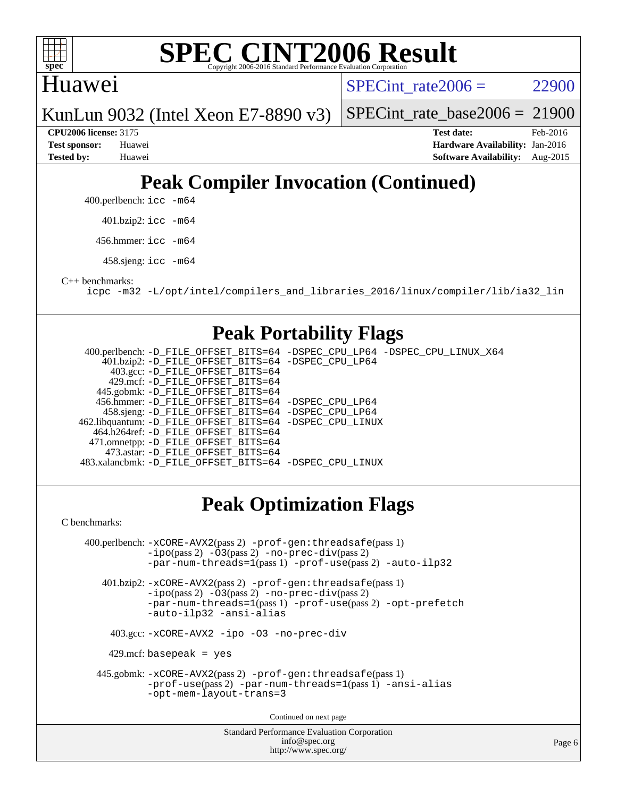

### **[SPEC CINT2006 Result](http://www.spec.org/auto/cpu2006/Docs/result-fields.html#SPECCINT2006Result)** Copyright 2006-2016 Standard Performance Evaluation

## Huawei

 $SPECTnt rate2006 = 22900$ 

KunLun 9032 (Intel Xeon E7-8890 v3)

SPECint rate base2006 =  $21900$ 

**[CPU2006 license:](http://www.spec.org/auto/cpu2006/Docs/result-fields.html#CPU2006license)** 3175 **[Test date:](http://www.spec.org/auto/cpu2006/Docs/result-fields.html#Testdate)** Feb-2016 **[Test sponsor:](http://www.spec.org/auto/cpu2006/Docs/result-fields.html#Testsponsor)** Huawei **[Hardware Availability:](http://www.spec.org/auto/cpu2006/Docs/result-fields.html#HardwareAvailability)** Jan-2016 **[Tested by:](http://www.spec.org/auto/cpu2006/Docs/result-fields.html#Testedby)** Huawei **[Software Availability:](http://www.spec.org/auto/cpu2006/Docs/result-fields.html#SoftwareAvailability)** Aug-2015

# **[Peak Compiler Invocation \(Continued\)](http://www.spec.org/auto/cpu2006/Docs/result-fields.html#PeakCompilerInvocation)**

400.perlbench: [icc -m64](http://www.spec.org/cpu2006/results/res2016q1/cpu2006-20160223-39045.flags.html#user_peakCCLD400_perlbench_intel_icc_64bit_bda6cc9af1fdbb0edc3795bac97ada53)

401.bzip2: [icc -m64](http://www.spec.org/cpu2006/results/res2016q1/cpu2006-20160223-39045.flags.html#user_peakCCLD401_bzip2_intel_icc_64bit_bda6cc9af1fdbb0edc3795bac97ada53)

456.hmmer: [icc -m64](http://www.spec.org/cpu2006/results/res2016q1/cpu2006-20160223-39045.flags.html#user_peakCCLD456_hmmer_intel_icc_64bit_bda6cc9af1fdbb0edc3795bac97ada53)

458.sjeng: [icc -m64](http://www.spec.org/cpu2006/results/res2016q1/cpu2006-20160223-39045.flags.html#user_peakCCLD458_sjeng_intel_icc_64bit_bda6cc9af1fdbb0edc3795bac97ada53)

[C++ benchmarks:](http://www.spec.org/auto/cpu2006/Docs/result-fields.html#CXXbenchmarks)

[icpc -m32 -L/opt/intel/compilers\\_and\\_libraries\\_2016/linux/compiler/lib/ia32\\_lin](http://www.spec.org/cpu2006/results/res2016q1/cpu2006-20160223-39045.flags.html#user_CXXpeak_intel_icpc_b4f50a394bdb4597aa5879c16bc3f5c5)

## **[Peak Portability Flags](http://www.spec.org/auto/cpu2006/Docs/result-fields.html#PeakPortabilityFlags)**

 400.perlbench: [-D\\_FILE\\_OFFSET\\_BITS=64](http://www.spec.org/cpu2006/results/res2016q1/cpu2006-20160223-39045.flags.html#user_peakPORTABILITY400_perlbench_file_offset_bits_64_438cf9856305ebd76870a2c6dc2689ab) [-DSPEC\\_CPU\\_LP64](http://www.spec.org/cpu2006/results/res2016q1/cpu2006-20160223-39045.flags.html#b400.perlbench_peakCPORTABILITY_DSPEC_CPU_LP64) [-DSPEC\\_CPU\\_LINUX\\_X64](http://www.spec.org/cpu2006/results/res2016q1/cpu2006-20160223-39045.flags.html#b400.perlbench_peakCPORTABILITY_DSPEC_CPU_LINUX_X64) 401.bzip2: [-D\\_FILE\\_OFFSET\\_BITS=64](http://www.spec.org/cpu2006/results/res2016q1/cpu2006-20160223-39045.flags.html#user_peakPORTABILITY401_bzip2_file_offset_bits_64_438cf9856305ebd76870a2c6dc2689ab) [-DSPEC\\_CPU\\_LP64](http://www.spec.org/cpu2006/results/res2016q1/cpu2006-20160223-39045.flags.html#suite_peakCPORTABILITY401_bzip2_DSPEC_CPU_LP64) 403.gcc: [-D\\_FILE\\_OFFSET\\_BITS=64](http://www.spec.org/cpu2006/results/res2016q1/cpu2006-20160223-39045.flags.html#user_peakPORTABILITY403_gcc_file_offset_bits_64_438cf9856305ebd76870a2c6dc2689ab) 429.mcf: [-D\\_FILE\\_OFFSET\\_BITS=64](http://www.spec.org/cpu2006/results/res2016q1/cpu2006-20160223-39045.flags.html#user_peakPORTABILITY429_mcf_file_offset_bits_64_438cf9856305ebd76870a2c6dc2689ab) 445.gobmk: [-D\\_FILE\\_OFFSET\\_BITS=64](http://www.spec.org/cpu2006/results/res2016q1/cpu2006-20160223-39045.flags.html#user_peakPORTABILITY445_gobmk_file_offset_bits_64_438cf9856305ebd76870a2c6dc2689ab) 456.hmmer: [-D\\_FILE\\_OFFSET\\_BITS=64](http://www.spec.org/cpu2006/results/res2016q1/cpu2006-20160223-39045.flags.html#user_peakPORTABILITY456_hmmer_file_offset_bits_64_438cf9856305ebd76870a2c6dc2689ab) [-DSPEC\\_CPU\\_LP64](http://www.spec.org/cpu2006/results/res2016q1/cpu2006-20160223-39045.flags.html#suite_peakCPORTABILITY456_hmmer_DSPEC_CPU_LP64) 458.sjeng: [-D\\_FILE\\_OFFSET\\_BITS=64](http://www.spec.org/cpu2006/results/res2016q1/cpu2006-20160223-39045.flags.html#user_peakPORTABILITY458_sjeng_file_offset_bits_64_438cf9856305ebd76870a2c6dc2689ab) [-DSPEC\\_CPU\\_LP64](http://www.spec.org/cpu2006/results/res2016q1/cpu2006-20160223-39045.flags.html#suite_peakCPORTABILITY458_sjeng_DSPEC_CPU_LP64) 462.libquantum: [-D\\_FILE\\_OFFSET\\_BITS=64](http://www.spec.org/cpu2006/results/res2016q1/cpu2006-20160223-39045.flags.html#user_peakPORTABILITY462_libquantum_file_offset_bits_64_438cf9856305ebd76870a2c6dc2689ab) [-DSPEC\\_CPU\\_LINUX](http://www.spec.org/cpu2006/results/res2016q1/cpu2006-20160223-39045.flags.html#b462.libquantum_peakCPORTABILITY_DSPEC_CPU_LINUX) 464.h264ref: [-D\\_FILE\\_OFFSET\\_BITS=64](http://www.spec.org/cpu2006/results/res2016q1/cpu2006-20160223-39045.flags.html#user_peakPORTABILITY464_h264ref_file_offset_bits_64_438cf9856305ebd76870a2c6dc2689ab) 471.omnetpp: [-D\\_FILE\\_OFFSET\\_BITS=64](http://www.spec.org/cpu2006/results/res2016q1/cpu2006-20160223-39045.flags.html#user_peakPORTABILITY471_omnetpp_file_offset_bits_64_438cf9856305ebd76870a2c6dc2689ab) 473.astar: [-D\\_FILE\\_OFFSET\\_BITS=64](http://www.spec.org/cpu2006/results/res2016q1/cpu2006-20160223-39045.flags.html#user_peakPORTABILITY473_astar_file_offset_bits_64_438cf9856305ebd76870a2c6dc2689ab) 483.xalancbmk: [-D\\_FILE\\_OFFSET\\_BITS=64](http://www.spec.org/cpu2006/results/res2016q1/cpu2006-20160223-39045.flags.html#user_peakPORTABILITY483_xalancbmk_file_offset_bits_64_438cf9856305ebd76870a2c6dc2689ab) [-DSPEC\\_CPU\\_LINUX](http://www.spec.org/cpu2006/results/res2016q1/cpu2006-20160223-39045.flags.html#b483.xalancbmk_peakCXXPORTABILITY_DSPEC_CPU_LINUX)

# **[Peak Optimization Flags](http://www.spec.org/auto/cpu2006/Docs/result-fields.html#PeakOptimizationFlags)**

[C benchmarks](http://www.spec.org/auto/cpu2006/Docs/result-fields.html#Cbenchmarks):

Standard Performance Evaluation Corporation 400.perlbench: [-xCORE-AVX2](http://www.spec.org/cpu2006/results/res2016q1/cpu2006-20160223-39045.flags.html#user_peakPASS2_CFLAGSPASS2_LDCFLAGS400_perlbench_f-xAVX2_5f5fc0cbe2c9f62c816d3e45806c70d7)(pass 2) [-prof-gen:threadsafe](http://www.spec.org/cpu2006/results/res2016q1/cpu2006-20160223-39045.flags.html#user_peakPASS1_CFLAGSPASS1_LDCFLAGS400_perlbench_prof_gen_21a26eb79f378b550acd7bec9fe4467a)(pass 1) [-ipo](http://www.spec.org/cpu2006/results/res2016q1/cpu2006-20160223-39045.flags.html#user_peakPASS2_CFLAGSPASS2_LDCFLAGS400_perlbench_f-ipo)(pass 2) [-O3](http://www.spec.org/cpu2006/results/res2016q1/cpu2006-20160223-39045.flags.html#user_peakPASS2_CFLAGSPASS2_LDCFLAGS400_perlbench_f-O3)(pass 2) [-no-prec-div](http://www.spec.org/cpu2006/results/res2016q1/cpu2006-20160223-39045.flags.html#user_peakPASS2_CFLAGSPASS2_LDCFLAGS400_perlbench_f-no-prec-div)(pass 2) [-par-num-threads=1](http://www.spec.org/cpu2006/results/res2016q1/cpu2006-20160223-39045.flags.html#user_peakPASS1_CFLAGSPASS1_LDCFLAGS400_perlbench_par_num_threads_786a6ff141b4e9e90432e998842df6c2)(pass 1) [-prof-use](http://www.spec.org/cpu2006/results/res2016q1/cpu2006-20160223-39045.flags.html#user_peakPASS2_CFLAGSPASS2_LDCFLAGS400_perlbench_prof_use_bccf7792157ff70d64e32fe3e1250b55)(pass 2) [-auto-ilp32](http://www.spec.org/cpu2006/results/res2016q1/cpu2006-20160223-39045.flags.html#user_peakCOPTIMIZE400_perlbench_f-auto-ilp32) 401.bzip2: [-xCORE-AVX2](http://www.spec.org/cpu2006/results/res2016q1/cpu2006-20160223-39045.flags.html#user_peakPASS2_CFLAGSPASS2_LDCFLAGS401_bzip2_f-xAVX2_5f5fc0cbe2c9f62c816d3e45806c70d7)(pass 2) [-prof-gen:threadsafe](http://www.spec.org/cpu2006/results/res2016q1/cpu2006-20160223-39045.flags.html#user_peakPASS1_CFLAGSPASS1_LDCFLAGS401_bzip2_prof_gen_21a26eb79f378b550acd7bec9fe4467a)(pass 1) [-ipo](http://www.spec.org/cpu2006/results/res2016q1/cpu2006-20160223-39045.flags.html#user_peakPASS2_CFLAGSPASS2_LDCFLAGS401_bzip2_f-ipo)(pass 2) [-O3](http://www.spec.org/cpu2006/results/res2016q1/cpu2006-20160223-39045.flags.html#user_peakPASS2_CFLAGSPASS2_LDCFLAGS401_bzip2_f-O3)(pass 2) [-no-prec-div](http://www.spec.org/cpu2006/results/res2016q1/cpu2006-20160223-39045.flags.html#user_peakPASS2_CFLAGSPASS2_LDCFLAGS401_bzip2_f-no-prec-div)(pass 2) [-par-num-threads=1](http://www.spec.org/cpu2006/results/res2016q1/cpu2006-20160223-39045.flags.html#user_peakPASS1_CFLAGSPASS1_LDCFLAGS401_bzip2_par_num_threads_786a6ff141b4e9e90432e998842df6c2)(pass 1) [-prof-use](http://www.spec.org/cpu2006/results/res2016q1/cpu2006-20160223-39045.flags.html#user_peakPASS2_CFLAGSPASS2_LDCFLAGS401_bzip2_prof_use_bccf7792157ff70d64e32fe3e1250b55)(pass 2) [-opt-prefetch](http://www.spec.org/cpu2006/results/res2016q1/cpu2006-20160223-39045.flags.html#user_peakCOPTIMIZE401_bzip2_f-opt-prefetch) [-auto-ilp32](http://www.spec.org/cpu2006/results/res2016q1/cpu2006-20160223-39045.flags.html#user_peakCOPTIMIZE401_bzip2_f-auto-ilp32) [-ansi-alias](http://www.spec.org/cpu2006/results/res2016q1/cpu2006-20160223-39045.flags.html#user_peakCOPTIMIZE401_bzip2_f-ansi-alias) 403.gcc: [-xCORE-AVX2](http://www.spec.org/cpu2006/results/res2016q1/cpu2006-20160223-39045.flags.html#user_peakCOPTIMIZE403_gcc_f-xAVX2_5f5fc0cbe2c9f62c816d3e45806c70d7) [-ipo](http://www.spec.org/cpu2006/results/res2016q1/cpu2006-20160223-39045.flags.html#user_peakCOPTIMIZE403_gcc_f-ipo) [-O3](http://www.spec.org/cpu2006/results/res2016q1/cpu2006-20160223-39045.flags.html#user_peakCOPTIMIZE403_gcc_f-O3) [-no-prec-div](http://www.spec.org/cpu2006/results/res2016q1/cpu2006-20160223-39045.flags.html#user_peakCOPTIMIZE403_gcc_f-no-prec-div)  $429$ .mcf: basepeak = yes 445.gobmk: [-xCORE-AVX2](http://www.spec.org/cpu2006/results/res2016q1/cpu2006-20160223-39045.flags.html#user_peakPASS2_CFLAGSPASS2_LDCFLAGS445_gobmk_f-xAVX2_5f5fc0cbe2c9f62c816d3e45806c70d7)(pass 2) [-prof-gen:threadsafe](http://www.spec.org/cpu2006/results/res2016q1/cpu2006-20160223-39045.flags.html#user_peakPASS1_CFLAGSPASS1_LDCFLAGS445_gobmk_prof_gen_21a26eb79f378b550acd7bec9fe4467a)(pass 1) [-prof-use](http://www.spec.org/cpu2006/results/res2016q1/cpu2006-20160223-39045.flags.html#user_peakPASS2_CFLAGSPASS2_LDCFLAGS445_gobmk_prof_use_bccf7792157ff70d64e32fe3e1250b55)(pass 2) [-par-num-threads=1](http://www.spec.org/cpu2006/results/res2016q1/cpu2006-20160223-39045.flags.html#user_peakPASS1_CFLAGSPASS1_LDCFLAGS445_gobmk_par_num_threads_786a6ff141b4e9e90432e998842df6c2)(pass 1) [-ansi-alias](http://www.spec.org/cpu2006/results/res2016q1/cpu2006-20160223-39045.flags.html#user_peakCOPTIMIZE445_gobmk_f-ansi-alias) [-opt-mem-layout-trans=3](http://www.spec.org/cpu2006/results/res2016q1/cpu2006-20160223-39045.flags.html#user_peakCOPTIMIZE445_gobmk_f-opt-mem-layout-trans_a7b82ad4bd7abf52556d4961a2ae94d5) Continued on next page

[info@spec.org](mailto:info@spec.org) <http://www.spec.org/>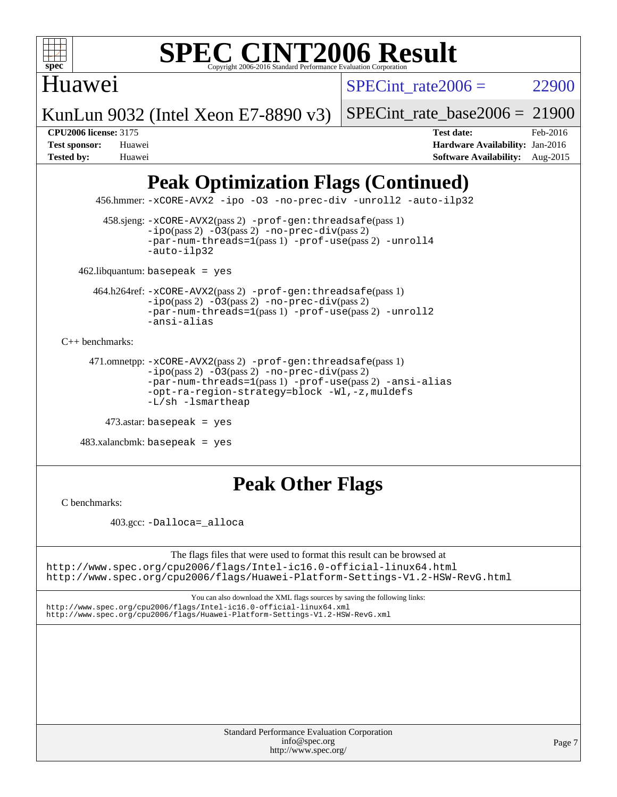

## Huawei

SPECint rate $2006 = 22900$ 

KunLun 9032 (Intel Xeon E7-8890 v3)

SPECint rate base2006 =  $21900$ 

**[CPU2006 license:](http://www.spec.org/auto/cpu2006/Docs/result-fields.html#CPU2006license)** 3175 **[Test date:](http://www.spec.org/auto/cpu2006/Docs/result-fields.html#Testdate)** Feb-2016 **[Test sponsor:](http://www.spec.org/auto/cpu2006/Docs/result-fields.html#Testsponsor)** Huawei **[Hardware Availability:](http://www.spec.org/auto/cpu2006/Docs/result-fields.html#HardwareAvailability)** Jan-2016 **[Tested by:](http://www.spec.org/auto/cpu2006/Docs/result-fields.html#Testedby)** Huawei **[Software Availability:](http://www.spec.org/auto/cpu2006/Docs/result-fields.html#SoftwareAvailability)** Aug-2015

# **[Peak Optimization Flags \(Continued\)](http://www.spec.org/auto/cpu2006/Docs/result-fields.html#PeakOptimizationFlags)**

456.hmmer: [-xCORE-AVX2](http://www.spec.org/cpu2006/results/res2016q1/cpu2006-20160223-39045.flags.html#user_peakCOPTIMIZE456_hmmer_f-xAVX2_5f5fc0cbe2c9f62c816d3e45806c70d7) [-ipo](http://www.spec.org/cpu2006/results/res2016q1/cpu2006-20160223-39045.flags.html#user_peakCOPTIMIZE456_hmmer_f-ipo) [-O3](http://www.spec.org/cpu2006/results/res2016q1/cpu2006-20160223-39045.flags.html#user_peakCOPTIMIZE456_hmmer_f-O3) [-no-prec-div](http://www.spec.org/cpu2006/results/res2016q1/cpu2006-20160223-39045.flags.html#user_peakCOPTIMIZE456_hmmer_f-no-prec-div) [-unroll2](http://www.spec.org/cpu2006/results/res2016q1/cpu2006-20160223-39045.flags.html#user_peakCOPTIMIZE456_hmmer_f-unroll_784dae83bebfb236979b41d2422d7ec2) [-auto-ilp32](http://www.spec.org/cpu2006/results/res2016q1/cpu2006-20160223-39045.flags.html#user_peakCOPTIMIZE456_hmmer_f-auto-ilp32)

 458.sjeng: [-xCORE-AVX2](http://www.spec.org/cpu2006/results/res2016q1/cpu2006-20160223-39045.flags.html#user_peakPASS2_CFLAGSPASS2_LDCFLAGS458_sjeng_f-xAVX2_5f5fc0cbe2c9f62c816d3e45806c70d7)(pass 2) [-prof-gen:threadsafe](http://www.spec.org/cpu2006/results/res2016q1/cpu2006-20160223-39045.flags.html#user_peakPASS1_CFLAGSPASS1_LDCFLAGS458_sjeng_prof_gen_21a26eb79f378b550acd7bec9fe4467a)(pass 1)  $-i\text{po}(pass 2) -03(pass 2) -no-prec-div(pass 2)$  $-i\text{po}(pass 2) -03(pass 2) -no-prec-div(pass 2)$  $-i\text{po}(pass 2) -03(pass 2) -no-prec-div(pass 2)$ [-par-num-threads=1](http://www.spec.org/cpu2006/results/res2016q1/cpu2006-20160223-39045.flags.html#user_peakPASS1_CFLAGSPASS1_LDCFLAGS458_sjeng_par_num_threads_786a6ff141b4e9e90432e998842df6c2)(pass 1) [-prof-use](http://www.spec.org/cpu2006/results/res2016q1/cpu2006-20160223-39045.flags.html#user_peakPASS2_CFLAGSPASS2_LDCFLAGS458_sjeng_prof_use_bccf7792157ff70d64e32fe3e1250b55)(pass 2) [-unroll4](http://www.spec.org/cpu2006/results/res2016q1/cpu2006-20160223-39045.flags.html#user_peakCOPTIMIZE458_sjeng_f-unroll_4e5e4ed65b7fd20bdcd365bec371b81f) [-auto-ilp32](http://www.spec.org/cpu2006/results/res2016q1/cpu2006-20160223-39045.flags.html#user_peakCOPTIMIZE458_sjeng_f-auto-ilp32)

462.libquantum: basepeak = yes

 464.h264ref: [-xCORE-AVX2](http://www.spec.org/cpu2006/results/res2016q1/cpu2006-20160223-39045.flags.html#user_peakPASS2_CFLAGSPASS2_LDCFLAGS464_h264ref_f-xAVX2_5f5fc0cbe2c9f62c816d3e45806c70d7)(pass 2) [-prof-gen:threadsafe](http://www.spec.org/cpu2006/results/res2016q1/cpu2006-20160223-39045.flags.html#user_peakPASS1_CFLAGSPASS1_LDCFLAGS464_h264ref_prof_gen_21a26eb79f378b550acd7bec9fe4467a)(pass 1)  $-i\text{po}(pass 2) -\overline{O}3(pass 2)$  [-no-prec-div](http://www.spec.org/cpu2006/results/res2016q1/cpu2006-20160223-39045.flags.html#user_peakPASS2_CFLAGSPASS2_LDCFLAGS464_h264ref_f-no-prec-div)(pass 2) [-par-num-threads=1](http://www.spec.org/cpu2006/results/res2016q1/cpu2006-20160223-39045.flags.html#user_peakPASS1_CFLAGSPASS1_LDCFLAGS464_h264ref_par_num_threads_786a6ff141b4e9e90432e998842df6c2)(pass 1) [-prof-use](http://www.spec.org/cpu2006/results/res2016q1/cpu2006-20160223-39045.flags.html#user_peakPASS2_CFLAGSPASS2_LDCFLAGS464_h264ref_prof_use_bccf7792157ff70d64e32fe3e1250b55)(pass 2) [-unroll2](http://www.spec.org/cpu2006/results/res2016q1/cpu2006-20160223-39045.flags.html#user_peakCOPTIMIZE464_h264ref_f-unroll_784dae83bebfb236979b41d2422d7ec2) [-ansi-alias](http://www.spec.org/cpu2006/results/res2016q1/cpu2006-20160223-39045.flags.html#user_peakCOPTIMIZE464_h264ref_f-ansi-alias)

[C++ benchmarks:](http://www.spec.org/auto/cpu2006/Docs/result-fields.html#CXXbenchmarks)

```
 471.omnetpp: -xCORE-AVX2(pass 2) -prof-gen:threadsafe(pass 1)
-ipo(pass 2) -O3(pass 2) -no-prec-div(pass 2)
-par-num-threads=1(pass 1) -prof-use(pass 2) -ansi-alias
-opt-ra-region-strategy=block -Wl,-z,muldefs
-L/sh -lsmartheap
```

```
 473.astar: basepeak = yes
```
 $483.xalanchmk: basepeak = yes$ 

# **[Peak Other Flags](http://www.spec.org/auto/cpu2006/Docs/result-fields.html#PeakOtherFlags)**

[C benchmarks](http://www.spec.org/auto/cpu2006/Docs/result-fields.html#Cbenchmarks):

403.gcc: [-Dalloca=\\_alloca](http://www.spec.org/cpu2006/results/res2016q1/cpu2006-20160223-39045.flags.html#b403.gcc_peakEXTRA_CFLAGS_Dalloca_be3056838c12de2578596ca5467af7f3)

The flags files that were used to format this result can be browsed at <http://www.spec.org/cpu2006/flags/Intel-ic16.0-official-linux64.html> <http://www.spec.org/cpu2006/flags/Huawei-Platform-Settings-V1.2-HSW-RevG.html>

You can also download the XML flags sources by saving the following links: <http://www.spec.org/cpu2006/flags/Intel-ic16.0-official-linux64.xml>

<http://www.spec.org/cpu2006/flags/Huawei-Platform-Settings-V1.2-HSW-RevG.xml>

Standard Performance Evaluation Corporation [info@spec.org](mailto:info@spec.org) <http://www.spec.org/>